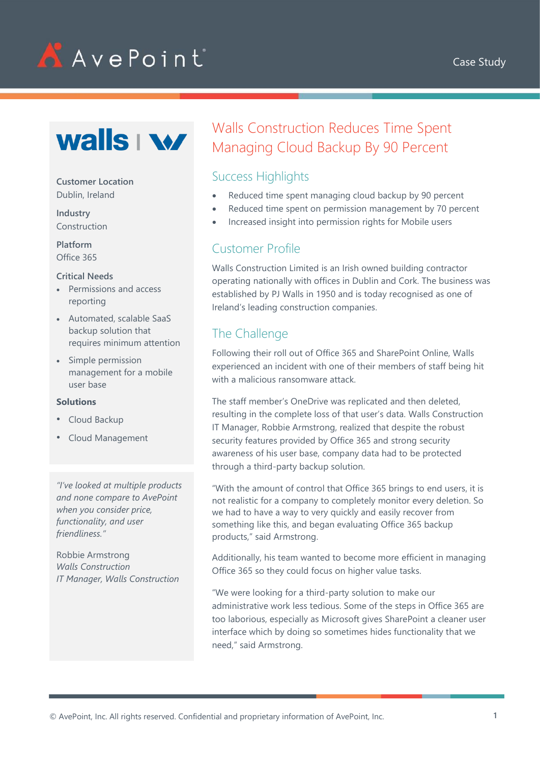

# AAvePoint



#### **Customer Location** Dublin, Ireland

**Industry** Construction

**Platform** Office 365

#### **Critical Needs**

- Permissions and access reporting
- Automated, scalable SaaS backup solution that requires minimum attention
- Simple permission management for a mobile user base

#### **Solutions**

- Cloud Backup
- Cloud Management

*"I've looked at multiple products and none compare to AvePoint when you consider price, functionality, and user friendliness."*

Robbie Armstrong *Walls Construction IT Manager, Walls Construction*

## Walls Construction Reduces Time Spent Managing Cloud Backup By 90 Percent

### Success Highlights

- Reduced time spent managing cloud backup by 90 percent
- Reduced time spent on permission management by 70 percent
- Increased insight into permission rights for Mobile users

#### Customer Profile

Walls Construction Limited is an Irish owned building contractor operating nationally with offices in Dublin and Cork. The business was established by PJ Walls in 1950 and is today recognised as one of Ireland's leading construction companies.

## The Challenge

Following their roll out of Office 365 and SharePoint Online, Walls experienced an incident with one of their members of staff being hit with a malicious ransomware attack.

The staff member's OneDrive was replicated and then deleted, resulting in the complete loss of that user's data. Walls Construction IT Manager, Robbie Armstrong, realized that despite the robust security features provided by Office 365 and strong security awareness of his user base, company data had to be protected through a third-party backup solution.

"With the amount of control that Office 365 brings to end users, it is not realistic for a company to completely monitor every deletion. So we had to have a way to very quickly and easily recover from something like this, and began evaluating Office 365 backup products," said Armstrong.

Additionally, his team wanted to become more efficient in managing Office 365 so they could focus on higher value tasks.

"We were looking for a third-party solution to make our administrative work less tedious. Some of the steps in Office 365 are too laborious, especially as Microsoft gives SharePoint a cleaner user interface which by doing so sometimes hides functionality that we need," said Armstrong.